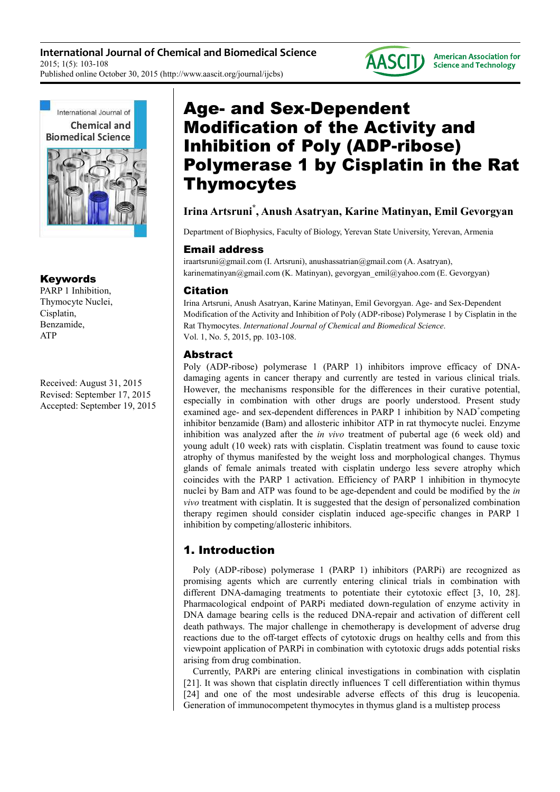**International Journal of Chemical and Biomedical Science** 2015; 1(5): 103-108 Published online October 30, 2015 (http://www.aascit.org/journal/ijcbs)





## Keywords

PARP 1 Inhibition, Thymocyte Nuclei, Cisplatin, Benzamide, ATP

Received: August 31, 2015 Revised: September 17, 2015 Accepted: September 19, 2015

# Age- and Sex-Dependent Modification of the Activity and Inhibition of Poly (ADP-ribose) Polymerase 1 by Cisplatin in the Rat Thymocytes

# **Irina Artsruni\* , Anush Asatryan, Karine Matinyan, Emil Gevorgyan**

Department of Biophysics, Faculty of Biology, Yerevan State University, Yerevan, Armenia

## Email address

iraartsruni@gmail.com (I. Artsruni), anushassatrian@gmail.com (A. Asatryan), karinematinyan@gmail.com (K. Matinyan), gevorgyan\_emil@yahoo.com (E. Gevorgyan)

## Citation

Irina Artsruni, Anush Asatryan, Karine Matinyan, Emil Gevorgyan. Age- and Sex-Dependent Modification of the Activity and Inhibition of Poly (ADP-ribose) Polymerase 1 by Cisplatin in the Rat Thymocytes. *International Journal of Chemical and Biomedical Science*. Vol. 1, No. 5, 2015, pp. 103-108.

## Abstract

Poly (ADP-ribose) polymerase 1 (PARP 1) inhibitors improve efficacy of DNAdamaging agents in cancer therapy and currently are tested in various clinical trials. However, the mechanisms responsible for the differences in their curative potential, especially in combination with other drugs are poorly understood. Present study examined age- and sex-dependent differences in PARP 1 inhibition by NAD<sup>+</sup>competing inhibitor benzamide (Bam) and allosteric inhibitor ATP in rat thymocyte nuclei. Enzyme inhibition was analyzed after the *in vivo* treatment of pubertal age (6 week old) and young adult (10 week) rats with cisplatin. Cisplatin treatment was found to cause toxic atrophy of thymus manifested by the weight loss and morphological changes. Thymus glands of female animals treated with cisplatin undergo less severe atrophy which coincides with the PARP 1 activation. Efficiency of PARP 1 inhibition in thymocyte nuclei by Bam and ATP was found to be age-dependent and could be modified by the *in vivo* treatment with cisplatin. It is suggested that the design of personalized combination therapy regimen should consider cisplatin induced age-specific changes in PARP 1 inhibition by competing/allosteric inhibitors.

# 1. Introduction

Poly (ADP-ribose) polymerase 1 (PARP 1) inhibitors (PARPi) are recognized as promising agents which are currently entering clinical trials in combination with different DNA-damaging treatments to potentiate their cytotoxic effect [3, 10, 28]. Pharmacological endpoint of PARPi mediated down-regulation of enzyme activity in DNA damage bearing cells is the reduced DNA-repair and activation of different cell death pathways. The major challenge in chemotherapy is development of adverse drug reactions due to the off-target effects of cytotoxic drugs on healthy cells and from this viewpoint application of PARPi in combination with cytotoxic drugs adds potential risks arising from drug combination.

Currently, PARPi are entering clinical investigations in combination with cisplatin [21]. It was shown that cisplatin directly influences T cell differentiation within thymus [24] and one of the most undesirable adverse effects of this drug is leucopenia. Generation of immunocompetent thymocytes in thymus gland is a multistep process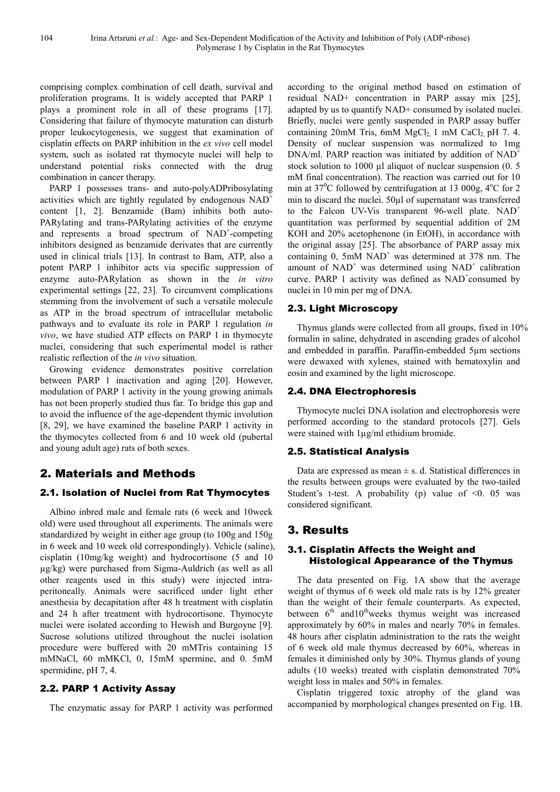comprising complex combination of cell death, survival and proliferation programs. It is widely accepted that PARP 1 plays a prominent role in all of these programs [17]. Considering that failure of thymocyte maturation can disturb proper leukocytogenesis, we suggest that examination of cisplatin effects on PARP inhibition in the *ex vivo* cell model system, such as isolated rat thymocyte nuclei will help to understand potential risks connected with the drug combination in cancer therapy.

PARP 1 possesses trans- and auto-polyADPribosylating activities which are tightly regulated by endogenous NAD<sup>+</sup> content [1, 2]. Benzamide (Bam) inhibits both auto-PARylating and trans-PARylating activities of the enzyme and represents a broad spectrum of NAD<sup>+</sup>-competing inhibitors designed as benzamide derivates that are currently used in clinical trials [13]. In contrast to Bam, ATP, also a potent PARP 1 inhibitor acts via specific suppression of enzyme auto-PARylation as shown in the *in vitro* experimental settings [22, 23]. To circumvent complications stemming from the involvement of such a versatile molecule as ATP in the broad spectrum of intracellular metabolic pathways and to evaluate its role in PARP 1 regulation *in vivo*, we have studied ATP effects on PARP 1 in thymocyte nuclei, considering that such experimental model is rather realistic reflection of the *in vivo* situation.

Growing evidence demonstrates positive correlation between PARP 1 inactivation and aging [20]. However, modulation of PARP 1 activity in the young growing animals has not been properly studied thus far. To bridge this gap and to avoid the influence of the age-dependent thymic involution [8, 29], we have examined the baseline PARP 1 activity in the thymocytes collected from 6 and 10 week old (pubertal and young adult age) rats of both sexes.

## 2. Materials and Methods

#### 2.1. Isolation of Nuclei from Rat Thymocytes

Albino inbred male and female rats (6 week and 10week old) were used throughout all experiments. The animals were standardized by weight in either age group (to 100g and 150g in 6 week and 10 week old correspondingly). Vehicle (saline), cisplatin (10mg/kg weight) and hydrocortisone (5 and 10 µg/kg) were purchased from Sigma-Auldrich (as well as all other reagents used in this study) were injected intraperitoneally. Animals were sacrificed under light ether anesthesia by decapitation after 48 h treatment with cisplatin and 24 h after treatment with hydrocortisone. Thymocyte nuclei were isolated according to Hewish and Burgoyne [9]. Sucrose solutions utilized throughout the nuclei isolation procedure were buffered with 20 mMTris containing 15 mMNaCl, 60 mMKCl, 0, 15mM spermine, and 0. 5mM spermidine, pH 7, 4.

#### 2.2. PARP 1 Activity Assay

The enzymatic assay for PARP 1 activity was performed

according to the original method based on estimation of residual NAD+ concentration in PARP assay mix [25], adapted by us to quantify NAD+ consumed by isolated nuclei. Briefly, nuclei were gently suspended in PARP assay buffer containing 20mM Tris, 6mM  $MgCl<sub>2</sub>$  1 mM CaCl<sub>2</sub> pH 7. 4. Density of nuclear suspension was normalized to 1mg DNA/ml. PARP reaction was initiated by addition of  $NAD^+$ stock solution to 1000 µl aliquot of nuclear suspension  $(0, 5)$ mM final concentration). The reaction was carried out for 10 min at  $37^{\circ}$ C followed by centrifugation at 13 000g,  $4^{\circ}$ C for 2 min to discard the nuclei. 50µl of supernatant was transferred to the Falcon UV-Vis transparent 96-well plate. NAD<sup>+</sup> quantitation was performed by sequential addition of 2M KOH and 20% acetophenone (in EtOH), in accordance with the original assay [25]. The absorbance of PARP assay mix containing  $0$ , 5mM NAD<sup>+</sup> was determined at 378 nm. The amount of  $NAD^+$  was determined using  $NAD^+$  calibration curve. PARP 1 activity was defined as  $NAD^+$ consumed by nuclei in 10 min per mg of DNA.

#### 2.3. Light Microscopy

Thymus glands were collected from all groups, fixed in 10% formalin in saline, dehydrated in ascending grades of alcohol and embedded in paraffin. Paraffin-embedded 5µm sections were dewaxed with xylenes, stained with hematoxylin and eosin and examined by the light microscope.

#### 2.4. DNA Electrophoresis

Thymocyte nuclei DNA isolation and electrophoresis were performed according to the standard protocols [27]. Gels were stained with  $1\mu g/ml$  ethidium bromide.

#### 2.5. Statistical Analysis

Data are expressed as mean  $\pm$  s. d. Statistical differences in the results between groups were evaluated by the two-tailed Student's t-test. A probability (p) value of  $\leq 0$ . 05 was considered significant.

## 3. Results

#### 3.1. Cisplatin Affects the Weight and Histological Appearance of the Thymus

The data presented on Fig. 1A show that the average weight of thymus of 6 week old male rats is by 12% greater than the weight of their female counterparts. As expected, between  $6<sup>th</sup>$  and  $10<sup>th</sup>$  weeks thymus weight was increased approximately by 60% in males and nearly 70% in females. 48 hours after cisplatin administration to the rats the weight of 6 week old male thymus decreased by 60%, whereas in females it diminished only by 30%. Thymus glands of young adults (10 weeks) treated with cisplatin demonstrated 70% weight loss in males and 50% in females.

Cisplatin triggered toxic atrophy of the gland was accompanied by morphological changes presented on Fig. 1B.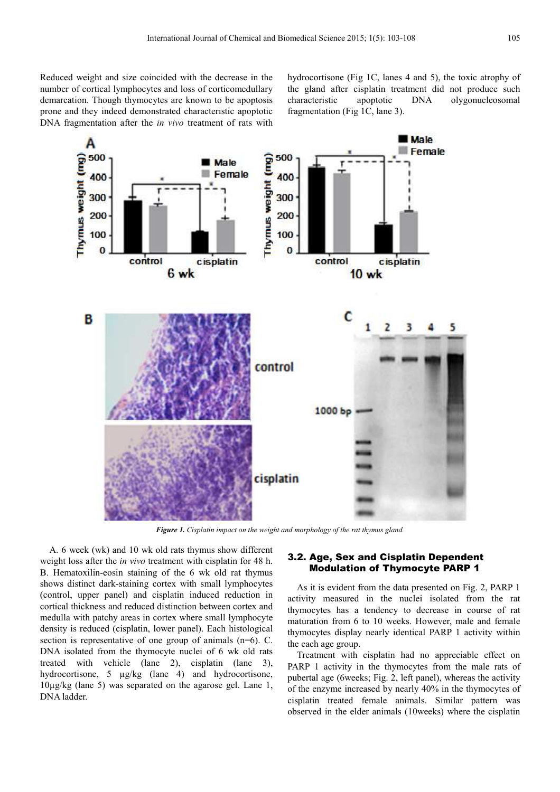Reduced weight and size coincided with the decrease in the number of cortical lymphocytes and loss of corticomedullary demarcation. Though thymocytes are known to be apoptosis prone and they indeed demonstrated characteristic apoptotic DNA fragmentation after the *in vivo* treatment of rats with hydrocortisone (Fig 1C, lanes 4 and 5), the toxic atrophy of the gland after cisplatin treatment did not produce such characteristic apoptotic DNA olygonucleosomal fragmentation (Fig 1C, lane 3).



*Figure 1. Cisplatin impact on the weight and morphology of the rat thymus gland.* 

A. 6 week (wk) and 10 wk old rats thymus show different weight loss after the *in vivo* treatment with cisplatin for 48 h. B. Hematoxilin-eosin staining of the 6 wk old rat thymus shows distinct dark-staining cortex with small lymphocytes (control, upper panel) and cisplatin induced reduction in cortical thickness and reduced distinction between cortex and medulla with patchy areas in cortex where small lymphocyte density is reduced (cisplatin, lower panel). Each histological section is representative of one group of animals (n=6). C. DNA isolated from the thymocyte nuclei of 6 wk old rats treated with vehicle (lane 2), cisplatin (lane 3), hydrocortisone, 5 µg/kg (lane 4) and hydrocortisone, 10µg/kg (lane 5) was separated on the agarose gel. Lane 1, DNA ladder.

#### 3.2. Age, Sex and Cisplatin Dependent Modulation of Thymocyte PARP 1

As it is evident from the data presented on Fig. 2, PARP 1 activity measured in the nuclei isolated from the rat thymocytes has a tendency to decrease in course of rat maturation from 6 to 10 weeks. However, male and female thymocytes display nearly identical PARP 1 activity within the each age group.

Treatment with cisplatin had no appreciable effect on PARP 1 activity in the thymocytes from the male rats of pubertal age (6weeks; Fig. 2, left panel), whereas the activity of the enzyme increased by nearly 40% in the thymocytes of cisplatin treated female animals. Similar pattern was observed in the elder animals (10weeks) where the cisplatin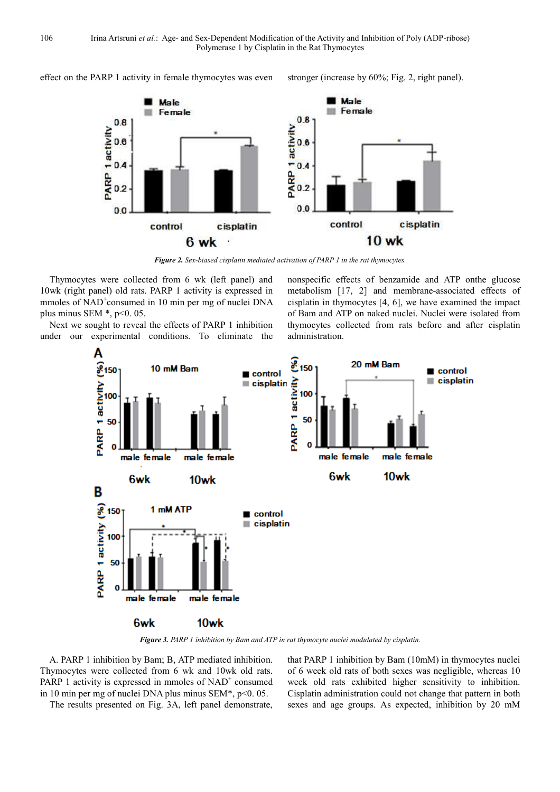effect on the PARP 1 activity in female thymocytes was even stronger (increase by 60%; Fig. 2, right panel).



*Figure 2. Sex-biased cisplatin mediated activation of PARP 1 in the rat thymocytes.* 

Thymocytes were collected from 6 wk (left panel) and 10wk (right panel) old rats. PARP 1 activity is expressed in mmoles of NAD<sup>+</sup>consumed in 10 min per mg of nuclei DNA plus minus SEM  $*$ , p<0. 05.

Next we sought to reveal the effects of PARP 1 inhibition under our experimental conditions. To eliminate the nonspecific effects of benzamide and ATP onthe glucose metabolism [17, 2] and membrane-associated effects of cisplatin in thymocytes [4, 6], we have examined the impact of Bam and ATP on naked nuclei. Nuclei were isolated from thymocytes collected from rats before and after cisplatin administration.



*Figure 3. PARP 1 inhibition by Bam and ATP in rat thymocyte nuclei modulated by cisplatin.* 

A. PARP 1 inhibition by Bam; B, ATP mediated inhibition. Thymocytes were collected from 6 wk and 10wk old rats. PARP 1 activity is expressed in mmoles of NAD<sup>+</sup> consumed in 10 min per mg of nuclei DNA plus minus SEM\*, p<0. 05.

The results presented on Fig. 3A, left panel demonstrate,

that PARP 1 inhibition by Bam (10mM) in thymocytes nuclei of 6 week old rats of both sexes was negligible, whereas 10 week old rats exhibited higher sensitivity to inhibition. Cisplatin administration could not change that pattern in both sexes and age groups. As expected, inhibition by 20 mM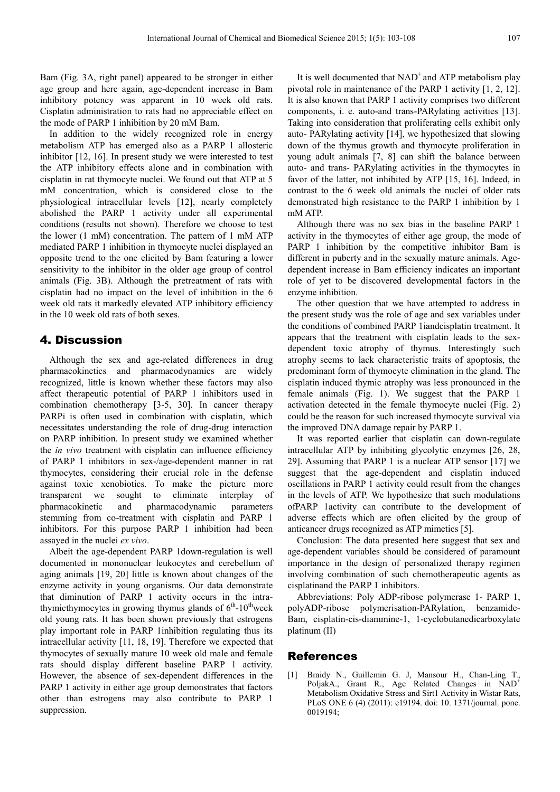Bam (Fig. 3A, right panel) appeared to be stronger in either age group and here again, age-dependent increase in Bam inhibitory potency was apparent in 10 week old rats. Cisplatin administration to rats had no appreciable effect on the mode of PARP 1 inhibition by 20 mM Bam.

In addition to the widely recognized role in energy metabolism ATP has emerged also as a PARP 1 allosteric inhibitor [12, 16]. In present study we were interested to test the ATP inhibitory effects alone and in combination with cisplatin in rat thymocyte nuclei. We found out that ATP at 5 mM concentration, which is considered close to the physiological intracellular levels [12], nearly completely abolished the PARP 1 activity under all experimental conditions (results not shown). Therefore we choose to test the lower (1 mM) concentration. The pattern of 1 mM ATP mediated PARP 1 inhibition in thymocyte nuclei displayed an opposite trend to the one elicited by Bam featuring a lower sensitivity to the inhibitor in the older age group of control animals (Fig. 3B). Although the pretreatment of rats with cisplatin had no impact on the level of inhibition in the 6 week old rats it markedly elevated ATP inhibitory efficiency in the 10 week old rats of both sexes.

#### 4. Discussion

Although the sex and age-related differences in drug pharmacokinetics and pharmacodynamics are widely recognized, little is known whether these factors may also affect therapeutic potential of PARP 1 inhibitors used in combination chemotherapy [3-5, 30]. In cancer therapy PARPi is often used in combination with cisplatin, which necessitates understanding the role of drug-drug interaction on PARP inhibition. In present study we examined whether the *in vivo* treatment with cisplatin can influence efficiency of PARP 1 inhibitors in sex-/age-dependent manner in rat thymocytes, considering their crucial role in the defense against toxic xenobiotics. To make the picture more transparent we sought to eliminate interplay of pharmacokinetic and pharmacodynamic parameters stemming from co-treatment with cisplatin and PARP 1 inhibitors. For this purpose PARP 1 inhibition had been assayed in the nuclei *ex vivo*.

Albeit the age-dependent PARP 1down-regulation is well documented in mononuclear leukocytes and cerebellum of aging animals [19, 20] little is known about changes of the enzyme activity in young organisms. Our data demonstrate that diminution of PARP 1 activity occurs in the intrathymicthymocytes in growing thymus glands of  $6<sup>th</sup>$ -10<sup>th</sup>week old young rats. It has been shown previously that estrogens play important role in PARP 1inhibition regulating thus its intracellular activity [11, 18, 19]. Therefore we expected that thymocytes of sexually mature 10 week old male and female rats should display different baseline PARP 1 activity. However, the absence of sex-dependent differences in the PARP 1 activity in either age group demonstrates that factors other than estrogens may also contribute to PARP 1 suppression.

It is well documented that  $NAD^+$  and  $ATP$  metabolism play pivotal role in maintenance of the PARP 1 activity [1, 2, 12]. It is also known that PARP 1 activity comprises two different components, i. e. auto-and trans-PARylating activities [13]. Taking into consideration that proliferating cells exhibit only auto- PARylating activity [14], we hypothesized that slowing down of the thymus growth and thymocyte proliferation in young adult animals [7, 8] can shift the balance between auto- and trans- PARylating activities in the thymocytes in favor of the latter, not inhibited by ATP [15, 16]. Indeed, in contrast to the 6 week old animals the nuclei of older rats demonstrated high resistance to the PARP 1 inhibition by 1 mM ATP.

Although there was no sex bias in the baseline PARP 1 activity in the thymocytes of either age group, the mode of PARP 1 inhibition by the competitive inhibitor Bam is different in puberty and in the sexually mature animals. Agedependent increase in Bam efficiency indicates an important role of yet to be discovered developmental factors in the enzyme inhibition.

The other question that we have attempted to address in the present study was the role of age and sex variables under the conditions of combined PARP 1iandcisplatin treatment. It appears that the treatment with cisplatin leads to the sexdependent toxic atrophy of thymus. Interestingly such atrophy seems to lack characteristic traits of apoptosis, the predominant form of thymocyte elimination in the gland. The cisplatin induced thymic atrophy was less pronounced in the female animals (Fig. 1). We suggest that the PARP 1 activation detected in the female thymocyte nuclei (Fig. 2) could be the reason for such increased thymocyte survival via the improved DNA damage repair by PARP 1.

It was reported earlier that cisplatin can down-regulate intracellular ATP by inhibiting glycolytic enzymes [26, 28, 29]. Assuming that PARP 1 is a nuclear ATP sensor [17] we suggest that the age-dependent and cisplatin induced oscillations in PARP 1 activity could result from the changes in the levels of ATP. We hypothesize that such modulations ofPARP 1activity can contribute to the development of adverse effects which are often elicited by the group of anticancer drugs recognized as ATP mimetics [5].

Conclusion: The data presented here suggest that sex and age-dependent variables should be considered of paramount importance in the design of personalized therapy regimen involving combination of such chemotherapeutic agents as cisplatinand the PARP 1 inhibitors.

Abbreviations: Poly ADP-ribose polymerase 1- PARP 1, polyADP-ribose polymerisation-PARylation, benzamide-Bam, cisplatin-cis-diammine-1, 1-cyclobutanedicarboxylate platinum (II)

#### References

[1] Braidy N., Guillemin G. J, Mansour H., Chan-Ling T., PoljakA., Grant R., Age Related Changes in NAD<sup>+</sup> Metabolism Oxidative Stress and Sirt1 Activity in Wistar Rats, PLoS ONE 6 (4) (2011): e19194. doi: 10. 1371/journal. pone. 0019194;